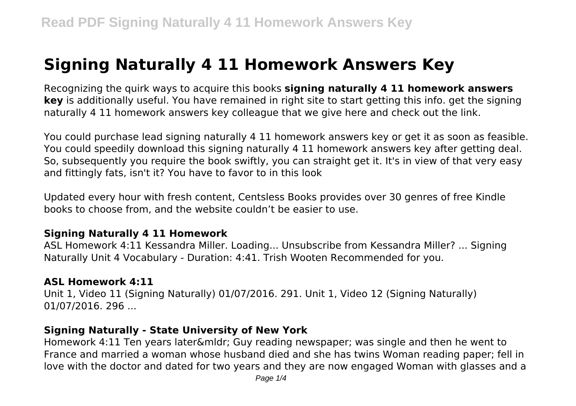# **Signing Naturally 4 11 Homework Answers Key**

Recognizing the quirk ways to acquire this books **signing naturally 4 11 homework answers key** is additionally useful. You have remained in right site to start getting this info. get the signing naturally 4 11 homework answers key colleague that we give here and check out the link.

You could purchase lead signing naturally 4 11 homework answers key or get it as soon as feasible. You could speedily download this signing naturally 4 11 homework answers key after getting deal. So, subsequently you require the book swiftly, you can straight get it. It's in view of that very easy and fittingly fats, isn't it? You have to favor to in this look

Updated every hour with fresh content, Centsless Books provides over 30 genres of free Kindle books to choose from, and the website couldn't be easier to use.

## **Signing Naturally 4 11 Homework**

ASL Homework 4:11 Kessandra Miller. Loading... Unsubscribe from Kessandra Miller? ... Signing Naturally Unit 4 Vocabulary - Duration: 4:41. Trish Wooten Recommended for you.

## **ASL Homework 4:11**

Unit 1, Video 11 (Signing Naturally) 01/07/2016. 291. Unit 1, Video 12 (Signing Naturally) 01/07/2016. 296 ...

# **Signing Naturally - State University of New York**

Homework 4:11 Ten years later… Guy reading newspaper; was single and then he went to France and married a woman whose husband died and she has twins Woman reading paper; fell in love with the doctor and dated for two years and they are now engaged Woman with glasses and a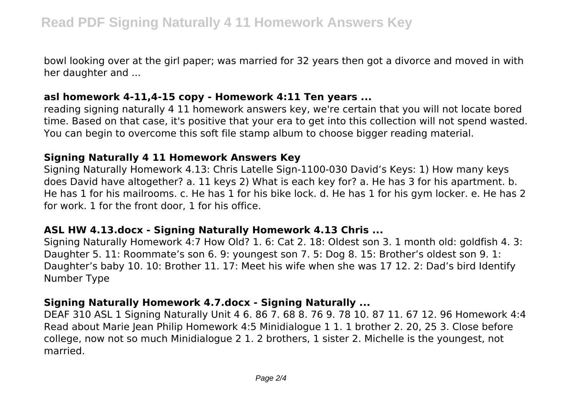bowl looking over at the girl paper; was married for 32 years then got a divorce and moved in with her daughter and ...

#### **asl homework 4-11,4-15 copy - Homework 4:11 Ten years ...**

reading signing naturally 4 11 homework answers key, we're certain that you will not locate bored time. Based on that case, it's positive that your era to get into this collection will not spend wasted. You can begin to overcome this soft file stamp album to choose bigger reading material.

#### **Signing Naturally 4 11 Homework Answers Key**

Signing Naturally Homework 4.13: Chris Latelle Sign-1100-030 David's Keys: 1) How many keys does David have altogether? a. 11 keys 2) What is each key for? a. He has 3 for his apartment. b. He has 1 for his mailrooms. c. He has 1 for his bike lock. d. He has 1 for his gym locker. e. He has 2 for work. 1 for the front door, 1 for his office.

#### **ASL HW 4.13.docx - Signing Naturally Homework 4.13 Chris ...**

Signing Naturally Homework 4:7 How Old? 1. 6: Cat 2. 18: Oldest son 3. 1 month old: goldfish 4. 3: Daughter 5. 11: Roommate's son 6. 9: youngest son 7. 5: Dog 8. 15: Brother's oldest son 9. 1: Daughter's baby 10. 10: Brother 11. 17: Meet his wife when she was 17 12. 2: Dad's bird Identify Number Type

## **Signing Naturally Homework 4.7.docx - Signing Naturally ...**

DEAF 310 ASL 1 Signing Naturally Unit 4 6. 86 7. 68 8. 76 9. 78 10. 87 11. 67 12. 96 Homework 4:4 Read about Marie Jean Philip Homework 4:5 Minidialogue 1 1. 1 brother 2. 20, 25 3. Close before college, now not so much Minidialogue 2 1. 2 brothers, 1 sister 2. Michelle is the youngest, not married.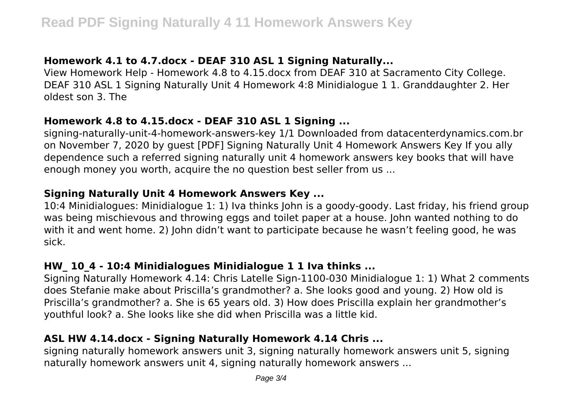# **Homework 4.1 to 4.7.docx - DEAF 310 ASL 1 Signing Naturally...**

View Homework Help - Homework 4.8 to 4.15.docx from DEAF 310 at Sacramento City College. DEAF 310 ASL 1 Signing Naturally Unit 4 Homework 4:8 Minidialogue 1 1. Granddaughter 2. Her oldest son 3. The

#### **Homework 4.8 to 4.15.docx - DEAF 310 ASL 1 Signing ...**

signing-naturally-unit-4-homework-answers-key 1/1 Downloaded from datacenterdynamics.com.br on November 7, 2020 by guest [PDF] Signing Naturally Unit 4 Homework Answers Key If you ally dependence such a referred signing naturally unit 4 homework answers key books that will have enough money you worth, acquire the no question best seller from us ...

# **Signing Naturally Unit 4 Homework Answers Key ...**

10:4 Minidialogues: Minidialogue 1: 1) Iva thinks John is a goody-goody. Last friday, his friend group was being mischievous and throwing eggs and toilet paper at a house. John wanted nothing to do with it and went home. 2) John didn't want to participate because he wasn't feeling good, he was sick.

# **HW\_ 10\_4 - 10:4 Minidialogues Minidialogue 1 1 Iva thinks ...**

Signing Naturally Homework 4.14: Chris Latelle Sign-1100-030 Minidialogue 1: 1) What 2 comments does Stefanie make about Priscilla's grandmother? a. She looks good and young. 2) How old is Priscilla's grandmother? a. She is 65 years old. 3) How does Priscilla explain her grandmother's youthful look? a. She looks like she did when Priscilla was a little kid.

# **ASL HW 4.14.docx - Signing Naturally Homework 4.14 Chris ...**

signing naturally homework answers unit 3, signing naturally homework answers unit 5, signing naturally homework answers unit 4, signing naturally homework answers ...